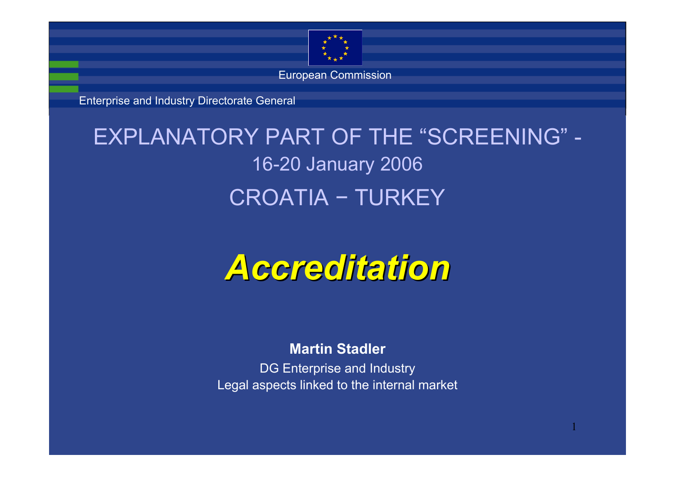

European Commission

Enterprise and Industry Directorate General

#### EXPLANATORY PART OF THE "SCREENING" -16-20 January 2006 CROATIA − TURKEY

# *Accreditation Accreditation*

#### **Martin Stadler**

DG Enterprise and Industry Legal aspects linked to the internal market

1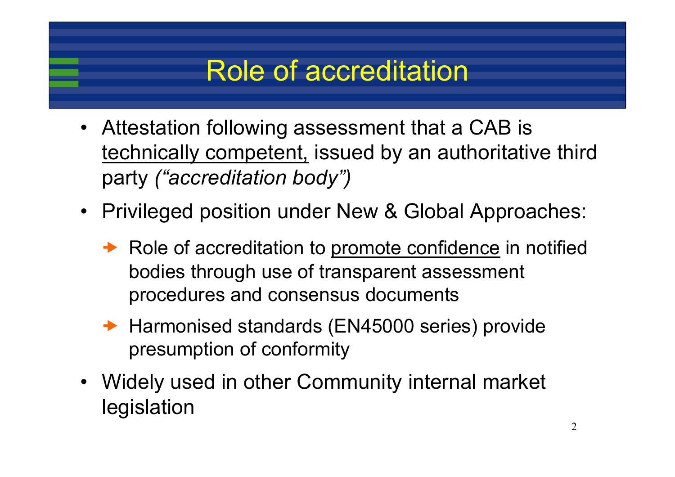### Role of accreditation

- Attestation following assessment that a CAB is technically competent, issued by an authoritative third party *("accreditation body")*
- Privileged position under New & Global Approaches:
	- Role of accreditation to promote confidence in notified bodies through use of transparent assessment procedures and consensus documents
	- **→ Harmonised standards (EN45000 series) provide** presumption of conformity
- Widely used in other Community internal market legislation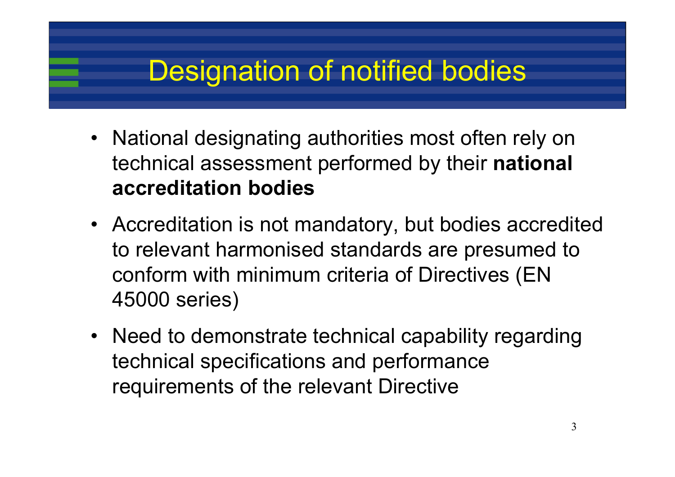## Designation of notified bodies

- National designating authorities most often rely on technical assessment performed by their **national accreditation bodies**
- Accreditation is not mandatory, but bodies accredited to relevant harmonised standards are presumed to conform with minimum criteria of Directives (EN 45000 series)
- Need to demonstrate technical capability regarding technical specifications and performance requirements of the relevant Directive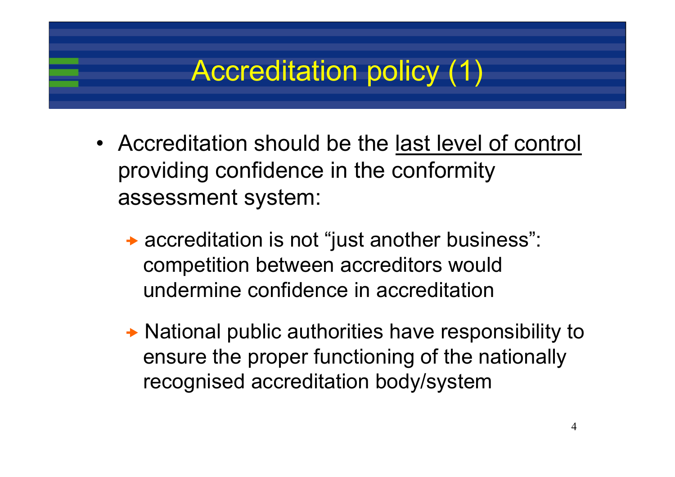## Accreditation policy (1)

- Accreditation should be the last level of control providing confidence in the conformity assessment system:
	- → accreditation is not "just another business": competition between accreditors would undermine confidence in accreditation
	- **→ National public authorities have responsibility to** ensure the proper functioning of the nationally recognised accreditation body/system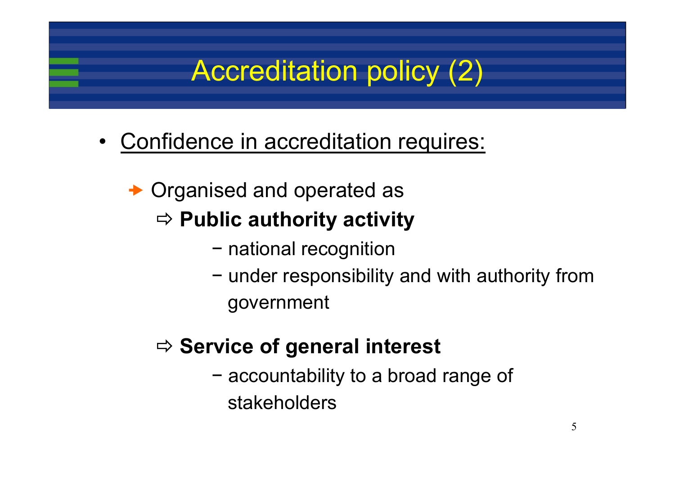## Accreditation policy (2)

• Confidence in accreditation requires:

#### **→ Organised and operated as** Ö **Public authority activity**

- − national recognition
- − under responsibility and with authority from government

#### Ö **Service of general interest**

− accountability to a broad range of stakeholders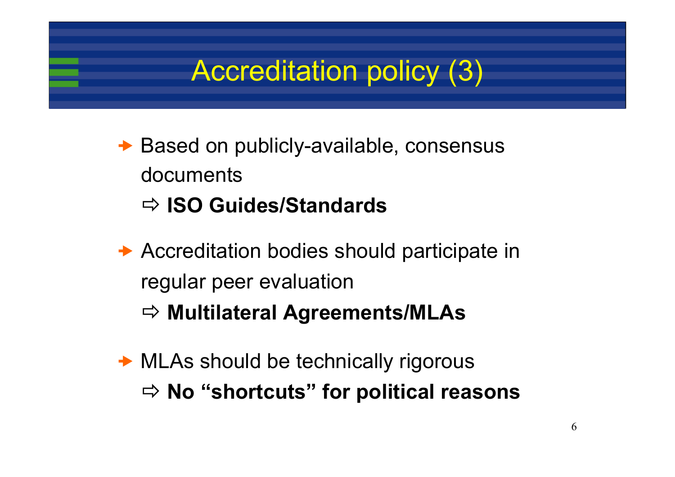### Accreditation policy (3)

- **→ Based on publicly-available, consensus** documentsÖ **ISO Guides/Standards**
- $\rightarrow$  Accreditation bodies should participate in regular peer evaluation Ö **Multilateral Agreements/MLAs**
- → MLAs should be technically rigorous Ö **No "shortcuts" for political reasons**